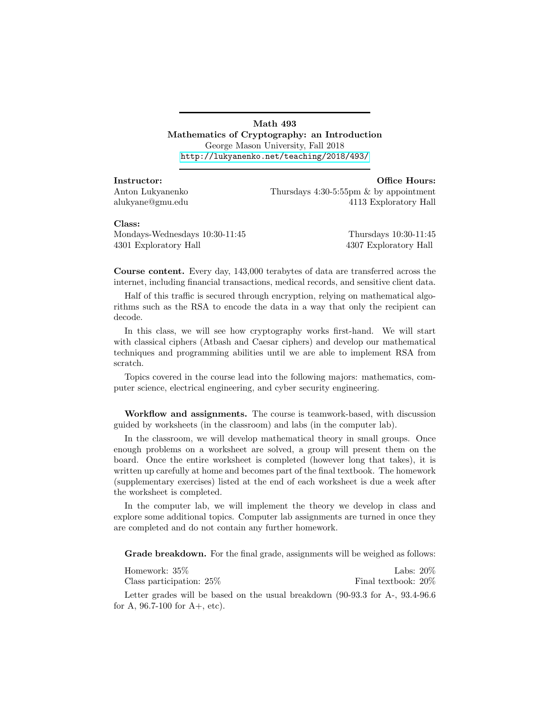Math 493 Mathematics of Cryptography: an Introduction George Mason University, Fall 2018 <http://lukyanenko.net/teaching/2018/493/>

Instructor: Office Hours: Anton Lukyanenko Thursdays 4:30-5:55pm & by appointment alukyane@gmu.edu 4113 Exploratory Hall

## Class:

Mondays-Wednesdays 10:30-11:45 Thursdays 10:30-11:45 4301 Exploratory Hall 4307 Exploratory Hall

Course content. Every day, 143,000 terabytes of data are transferred across the internet, including financial transactions, medical records, and sensitive client data.

Half of this traffic is secured through encryption, relying on mathematical algorithms such as the RSA to encode the data in a way that only the recipient can decode.

In this class, we will see how cryptography works first-hand. We will start with classical ciphers (Atbash and Caesar ciphers) and develop our mathematical techniques and programming abilities until we are able to implement RSA from scratch.

Topics covered in the course lead into the following majors: mathematics, computer science, electrical engineering, and cyber security engineering.

Workflow and assignments. The course is teamwork-based, with discussion guided by worksheets (in the classroom) and labs (in the computer lab).

In the classroom, we will develop mathematical theory in small groups. Once enough problems on a worksheet are solved, a group will present them on the board. Once the entire worksheet is completed (however long that takes), it is written up carefully at home and becomes part of the final textbook. The homework (supplementary exercises) listed at the end of each worksheet is due a week after the worksheet is completed.

In the computer lab, we will implement the theory we develop in class and explore some additional topics. Computer lab assignments are turned in once they are completed and do not contain any further homework.

Grade breakdown. For the final grade, assignments will be weighed as follows:

| Homework: $35\%$            | Labs: $20\%$        |  |
|-----------------------------|---------------------|--|
| Class participation: $25\%$ | Final textbook: 20% |  |

Letter grades will be based on the usual breakdown (90-93.3 for A-, 93.4-96.6 for A,  $96.7-100$  for  $A+$ , etc).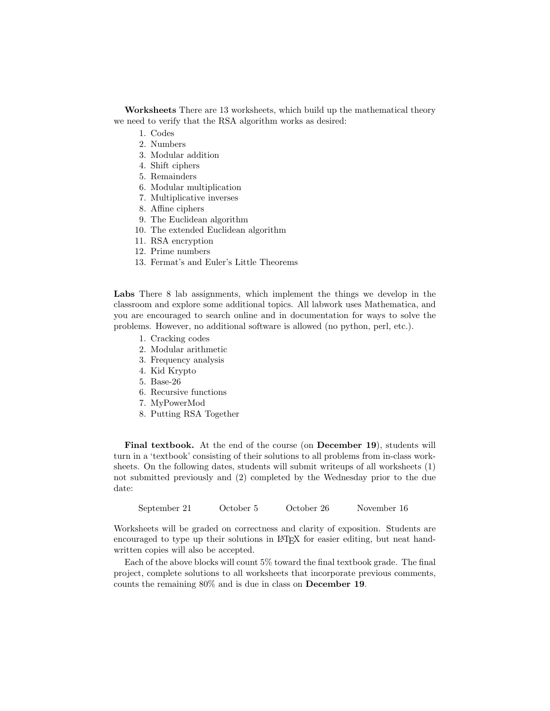Worksheets There are 13 worksheets, which build up the mathematical theory we need to verify that the RSA algorithm works as desired:

- 1. Codes
- 2. Numbers
- 3. Modular addition
- 4. Shift ciphers
- 5. Remainders
- 6. Modular multiplication
- 7. Multiplicative inverses
- 8. Affine ciphers
- 9. The Euclidean algorithm
- 10. The extended Euclidean algorithm
- 11. RSA encryption
- 12. Prime numbers
- 13. Fermat's and Euler's Little Theorems

Labs There 8 lab assignments, which implement the things we develop in the classroom and explore some additional topics. All labwork uses Mathematica, and you are encouraged to search online and in documentation for ways to solve the problems. However, no additional software is allowed (no python, perl, etc.).

- 1. Cracking codes
- 2. Modular arithmetic
- 3. Frequency analysis
- 4. Kid Krypto
- 5. Base-26
- 6. Recursive functions
- 7. MyPowerMod
- 8. Putting RSA Together

Final textbook. At the end of the course (on December 19), students will turn in a 'textbook' consisting of their solutions to all problems from in-class worksheets. On the following dates, students will submit writeups of all worksheets (1) not submitted previously and (2) completed by the Wednesday prior to the due date:

September 21 October 5 October 26 November 16

Worksheets will be graded on correctness and clarity of exposition. Students are encouraged to type up their solutions in LATEX for easier editing, but neat handwritten copies will also be accepted.

Each of the above blocks will count 5% toward the final textbook grade. The final project, complete solutions to all worksheets that incorporate previous comments, counts the remaining 80% and is due in class on December 19.